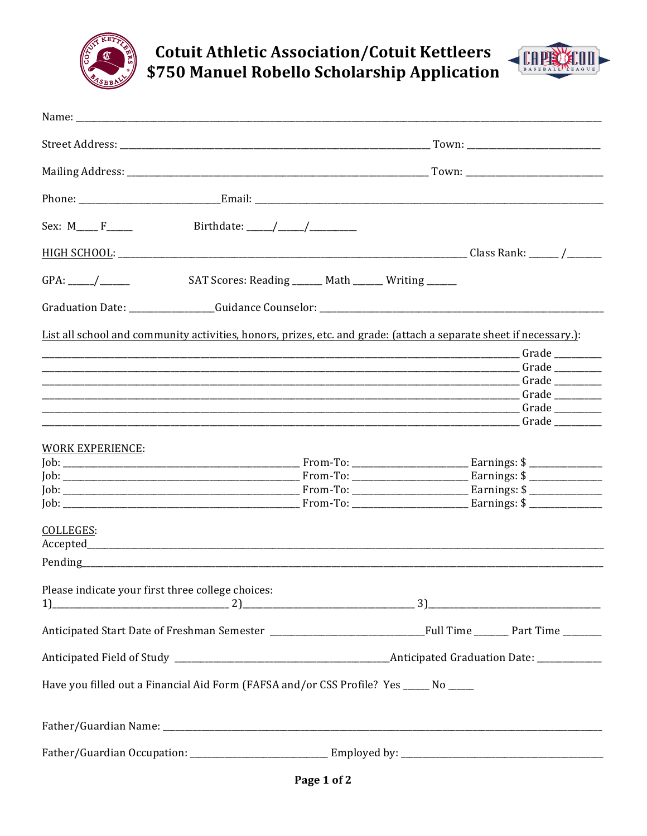

Cotuit Athletic Association/Cotuit Kettleers<br>\$750 Manuel Robello Scholarship Application



| Sex: $M_{\text{max}} F_{\text{max}}$                                                                                                                                                                                           |  |
|--------------------------------------------------------------------------------------------------------------------------------------------------------------------------------------------------------------------------------|--|
|                                                                                                                                                                                                                                |  |
| SAT Scores: Reading ______ Math ______ Writing ______                                                                                                                                                                          |  |
|                                                                                                                                                                                                                                |  |
| List all school and community activities, honors, prizes, etc. and grade: (attach a separate sheet if necessary.):                                                                                                             |  |
|                                                                                                                                                                                                                                |  |
|                                                                                                                                                                                                                                |  |
|                                                                                                                                                                                                                                |  |
|                                                                                                                                                                                                                                |  |
|                                                                                                                                                                                                                                |  |
|                                                                                                                                                                                                                                |  |
|                                                                                                                                                                                                                                |  |
| WORK EXPERIENCE:                                                                                                                                                                                                               |  |
|                                                                                                                                                                                                                                |  |
|                                                                                                                                                                                                                                |  |
|                                                                                                                                                                                                                                |  |
|                                                                                                                                                                                                                                |  |
| COLLEGES:                                                                                                                                                                                                                      |  |
| Pending Pending and the contract of the contract of the contract of the contract of the contract of the contract of the contract of the contract of the contract of the contract of the contract of the contract of the contra |  |
| Please indicate your first three college choices:                                                                                                                                                                              |  |
|                                                                                                                                                                                                                                |  |
|                                                                                                                                                                                                                                |  |
| Have you filled out a Financial Aid Form (FAFSA and/or CSS Profile? Yes _____ No _____                                                                                                                                         |  |
|                                                                                                                                                                                                                                |  |
|                                                                                                                                                                                                                                |  |